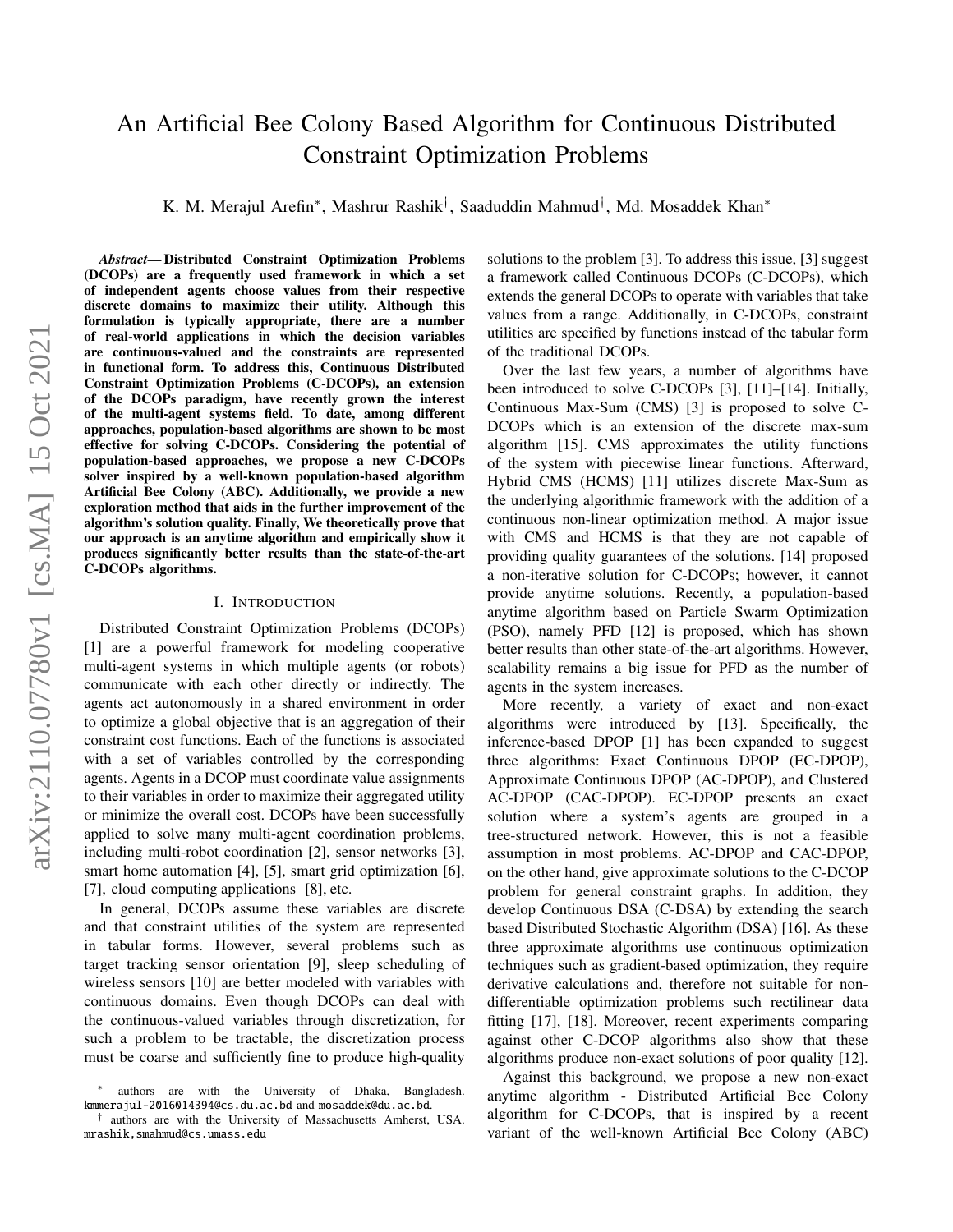# An Artificial Bee Colony Based Algorithm for Continuous Distributed Constraint Optimization Problems

K. M. Merajul Arefin<sup>∗</sup> , Mashrur Rashik† , Saaduddin Mahmud† , Md. Mosaddek Khan<sup>∗</sup>

*Abstract*— Distributed Constraint Optimization Problems (DCOPs) are a frequently used framework in which a set of independent agents choose values from their respective discrete domains to maximize their utility. Although this formulation is typically appropriate, there are a number of real-world applications in which the decision variables are continuous-valued and the constraints are represented in functional form. To address this, Continuous Distributed Constraint Optimization Problems (C-DCOPs), an extension of the DCOPs paradigm, have recently grown the interest of the multi-agent systems field. To date, among different approaches, population-based algorithms are shown to be most effective for solving C-DCOPs. Considering the potential of population-based approaches, we propose a new C-DCOPs solver inspired by a well-known population-based algorithm Artificial Bee Colony (ABC). Additionally, we provide a new exploration method that aids in the further improvement of the algorithm's solution quality. Finally, We theoretically prove that our approach is an anytime algorithm and empirically show it produces significantly better results than the state-of-the-art C-DCOPs algorithms.

#### I. INTRODUCTION

Distributed Constraint Optimization Problems (DCOPs) [1] are a powerful framework for modeling cooperative multi-agent systems in which multiple agents (or robots) communicate with each other directly or indirectly. The agents act autonomously in a shared environment in order to optimize a global objective that is an aggregation of their constraint cost functions. Each of the functions is associated with a set of variables controlled by the corresponding agents. Agents in a DCOP must coordinate value assignments to their variables in order to maximize their aggregated utility or minimize the overall cost. DCOPs have been successfully applied to solve many multi-agent coordination problems, including multi-robot coordination [2], sensor networks [3], smart home automation [4], [5], smart grid optimization [6], [7], cloud computing applications [8], etc.

In general, DCOPs assume these variables are discrete and that constraint utilities of the system are represented in tabular forms. However, several problems such as target tracking sensor orientation [9], sleep scheduling of wireless sensors [10] are better modeled with variables with continuous domains. Even though DCOPs can deal with the continuous-valued variables through discretization, for such a problem to be tractable, the discretization process must be coarse and sufficiently fine to produce high-quality solutions to the problem [3]. To address this issue, [3] suggest a framework called Continuous DCOPs (C-DCOPs), which extends the general DCOPs to operate with variables that take values from a range. Additionally, in C-DCOPs, constraint utilities are specified by functions instead of the tabular form of the traditional DCOPs.

Over the last few years, a number of algorithms have been introduced to solve C-DCOPs [3], [11]–[14]. Initially, Continuous Max-Sum (CMS) [3] is proposed to solve C-DCOPs which is an extension of the discrete max-sum algorithm [15]. CMS approximates the utility functions of the system with piecewise linear functions. Afterward, Hybrid CMS (HCMS) [11] utilizes discrete Max-Sum as the underlying algorithmic framework with the addition of a continuous non-linear optimization method. A major issue with CMS and HCMS is that they are not capable of providing quality guarantees of the solutions. [14] proposed a non-iterative solution for C-DCOPs; however, it cannot provide anytime solutions. Recently, a population-based anytime algorithm based on Particle Swarm Optimization (PSO), namely PFD [12] is proposed, which has shown better results than other state-of-the-art algorithms. However, scalability remains a big issue for PFD as the number of agents in the system increases.

More recently, a variety of exact and non-exact algorithms were introduced by [13]. Specifically, the inference-based DPOP [1] has been expanded to suggest three algorithms: Exact Continuous DPOP (EC-DPOP), Approximate Continuous DPOP (AC-DPOP), and Clustered AC-DPOP (CAC-DPOP). EC-DPOP presents an exact solution where a system's agents are grouped in a tree-structured network. However, this is not a feasible assumption in most problems. AC-DPOP and CAC-DPOP, on the other hand, give approximate solutions to the C-DCOP problem for general constraint graphs. In addition, they develop Continuous DSA (C-DSA) by extending the search based Distributed Stochastic Algorithm (DSA) [16]. As these three approximate algorithms use continuous optimization techniques such as gradient-based optimization, they require derivative calculations and, therefore not suitable for nondifferentiable optimization problems such rectilinear data fitting [17], [18]. Moreover, recent experiments comparing against other C-DCOP algorithms also show that these algorithms produce non-exact solutions of poor quality [12].

Against this background, we propose a new non-exact anytime algorithm - Distributed Artificial Bee Colony algorithm for C-DCOPs, that is inspired by a recent variant of the well-known Artificial Bee Colony (ABC)

<sup>∗</sup> authors are with the University of Dhaka, Bangladesh. kmmerajul-2016014394@cs.du.ac.bd and mosaddek@du.ac.bd.

<sup>†</sup> authors are with the University of Massachusetts Amherst, USA. mrashik,smahmud@cs.umass.edu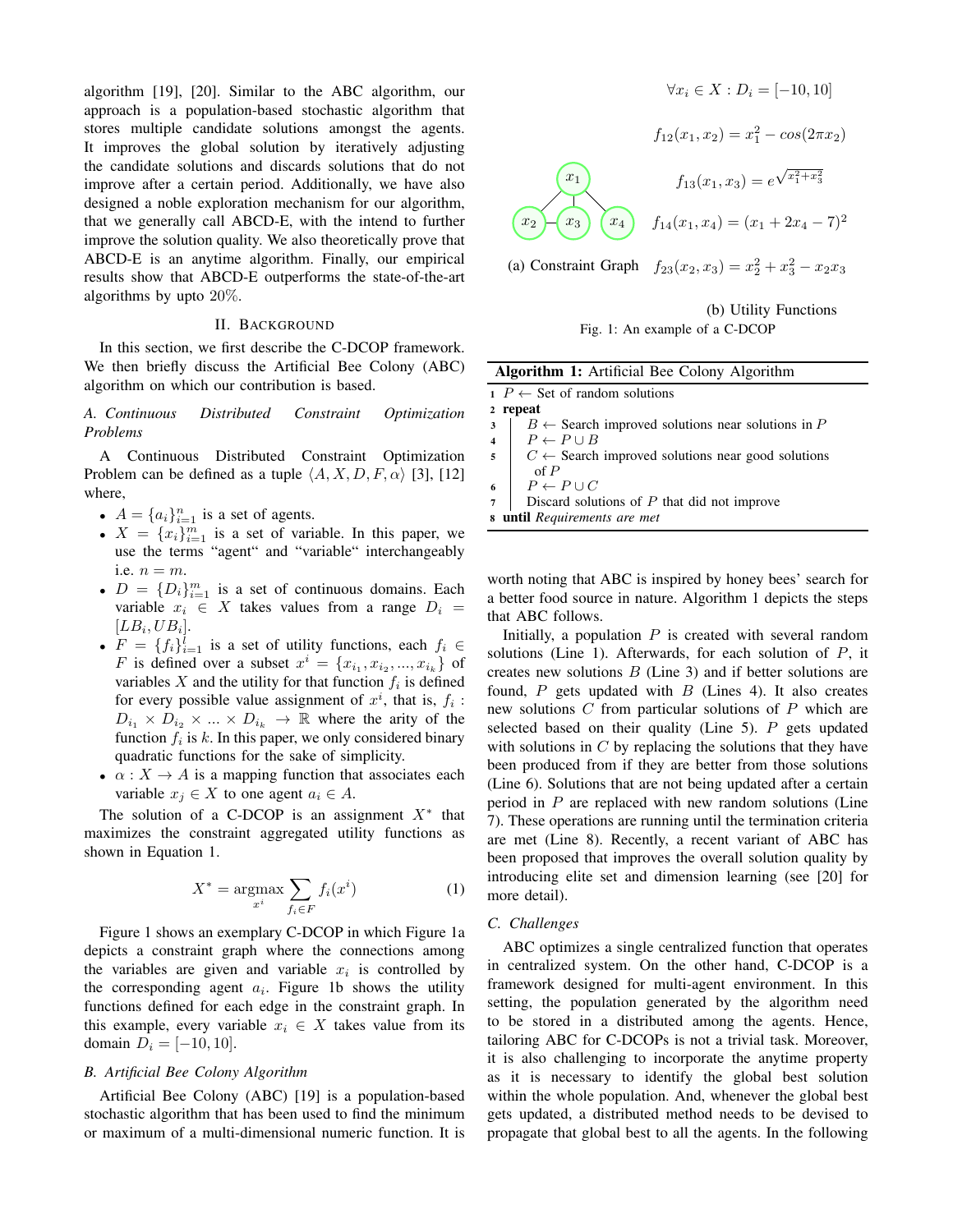algorithm [19], [20]. Similar to the ABC algorithm, our approach is a population-based stochastic algorithm that stores multiple candidate solutions amongst the agents. It improves the global solution by iteratively adjusting the candidate solutions and discards solutions that do not improve after a certain period. Additionally, we have also designed a noble exploration mechanism for our algorithm, that we generally call ABCD-E, with the intend to further improve the solution quality. We also theoretically prove that ABCD-E is an anytime algorithm. Finally, our empirical results show that ABCD-E outperforms the state-of-the-art algorithms by upto 20%.

# II. BACKGROUND

In this section, we first describe the C-DCOP framework. We then briefly discuss the Artificial Bee Colony (ABC) algorithm on which our contribution is based.

*A. Continuous Distributed Constraint Optimization Problems*

A Continuous Distributed Constraint Optimization Problem can be defined as a tuple  $\langle A, X, D, F, \alpha \rangle$  [3], [12] where,

- $A = \{a_i\}_{i=1}^n$  is a set of agents.
- $X = \{x_i\}_{i=1}^m$  is a set of variable. In this paper, we use the terms "agent" and "variable" interchangeably i.e.  $n = m$ .
- $D = \{D_i\}_{i=1}^m$  is a set of continuous domains. Each variable  $x_i \in X$  takes values from a range  $D_i =$  $[LB_i, UB_i].$
- $F = \{f_i\}_{i=1}^l$  is a set of utility functions, each  $f_i \in$ F is defined over a subset  $x^i = \{x_{i_1}, x_{i_2}, ..., x_{i_k}\}\$  of variables X and the utility for that function  $f_i$  is defined for every possible value assignment of  $x^i$ , that is,  $f_i$ :  $D_{i_1} \times D_{i_2} \times ... \times D_{i_k} \rightarrow \mathbb{R}$  where the arity of the function  $f_i$  is k. In this paper, we only considered binary quadratic functions for the sake of simplicity.
- $\alpha: X \to A$  is a mapping function that associates each variable  $x_j \in X$  to one agent  $a_i \in A$ .

The solution of a C-DCOP is an assignment  $X^*$  that maximizes the constraint aggregated utility functions as shown in Equation [1.](#page-1-0)

<span id="page-1-0"></span>
$$
X^* = \underset{x^i}{\text{argmax}} \sum_{f_i \in F} f_i(x^i) \tag{1}
$$

Figure [1](#page-1-1) shows an exemplary C-DCOP in which Figure [1a](#page-1-1) depicts a constraint graph where the connections among the variables are given and variable  $x_i$  is controlled by the corresponding agent  $a_i$ . Figure [1b](#page-1-1) shows the utility functions defined for each edge in the constraint graph. In this example, every variable  $x_i \in X$  takes value from its domain  $D_i = [-10, 10].$ 

#### *B. Artificial Bee Colony Algorithm*

Artificial Bee Colony (ABC) [19] is a population-based stochastic algorithm that has been used to find the minimum or maximum of a multi-dimensional numeric function. It is

$$
\forall x_i \in X : D_i = [-10, 10]
$$

<span id="page-1-1"></span>
$$
f_{12}(x_1, x_2) = x_1^2 - \cos(2\pi x_2)
$$

$$
f_{13}(x_1, x_3) = e^{\sqrt{x_1^2 + x_3^2}}
$$

$$
\begin{pmatrix} x_2 \\ x_3 \end{pmatrix} \begin{pmatrix} x_4 \\ x_4 \end{pmatrix} f_{14}(x_1, x_4) = (x_1 + 2x_4 - 7)^2
$$

(a) Constraint Graph  $f_{23}(x_2, x_3) = x_2^2 + x_3^2 - x_2x_3$ 



| <b>Algorithm 1:</b> Artificial Bee Colony Algorithm                            |  |  |  |  |
|--------------------------------------------------------------------------------|--|--|--|--|
| $P \leftarrow$ Set of random solutions                                         |  |  |  |  |
| 2 repeat                                                                       |  |  |  |  |
| $B \leftarrow$ Search improved solutions near solutions in P<br>3              |  |  |  |  |
| $P \leftarrow P \cup B$                                                        |  |  |  |  |
| $C \leftarrow$ Search improved solutions near good solutions<br>$\overline{5}$ |  |  |  |  |
| $\alpha f P$                                                                   |  |  |  |  |
| $P \leftarrow P \cup C$<br>6                                                   |  |  |  |  |
| Discard solutions of $P$ that did not improve                                  |  |  |  |  |
| <b>8</b> until Requirements are met                                            |  |  |  |  |
|                                                                                |  |  |  |  |

<span id="page-1-2"></span>worth noting that ABC is inspired by honey bees' search for a better food source in nature. Algorithm [1](#page-1-2) depicts the steps that ABC follows.

Initially, a population  $P$  is created with several random solutions (Line 1). Afterwards, for each solution of  $P$ , it creates new solutions  $B$  (Line 3) and if better solutions are found,  $P$  gets updated with  $B$  (Lines 4). It also creates new solutions C from particular solutions of P which are selected based on their quality (Line 5).  $P$  gets updated with solutions in  $C$  by replacing the solutions that they have been produced from if they are better from those solutions (Line 6). Solutions that are not being updated after a certain period in  $P$  are replaced with new random solutions (Line 7). These operations are running until the termination criteria are met (Line 8). Recently, a recent variant of ABC has been proposed that improves the overall solution quality by introducing elite set and dimension learning (see [20] for more detail).

#### *C. Challenges*

ABC optimizes a single centralized function that operates in centralized system. On the other hand, C-DCOP is a framework designed for multi-agent environment. In this setting, the population generated by the algorithm need to be stored in a distributed among the agents. Hence, tailoring ABC for C-DCOPs is not a trivial task. Moreover, it is also challenging to incorporate the anytime property as it is necessary to identify the global best solution within the whole population. And, whenever the global best gets updated, a distributed method needs to be devised to propagate that global best to all the agents. In the following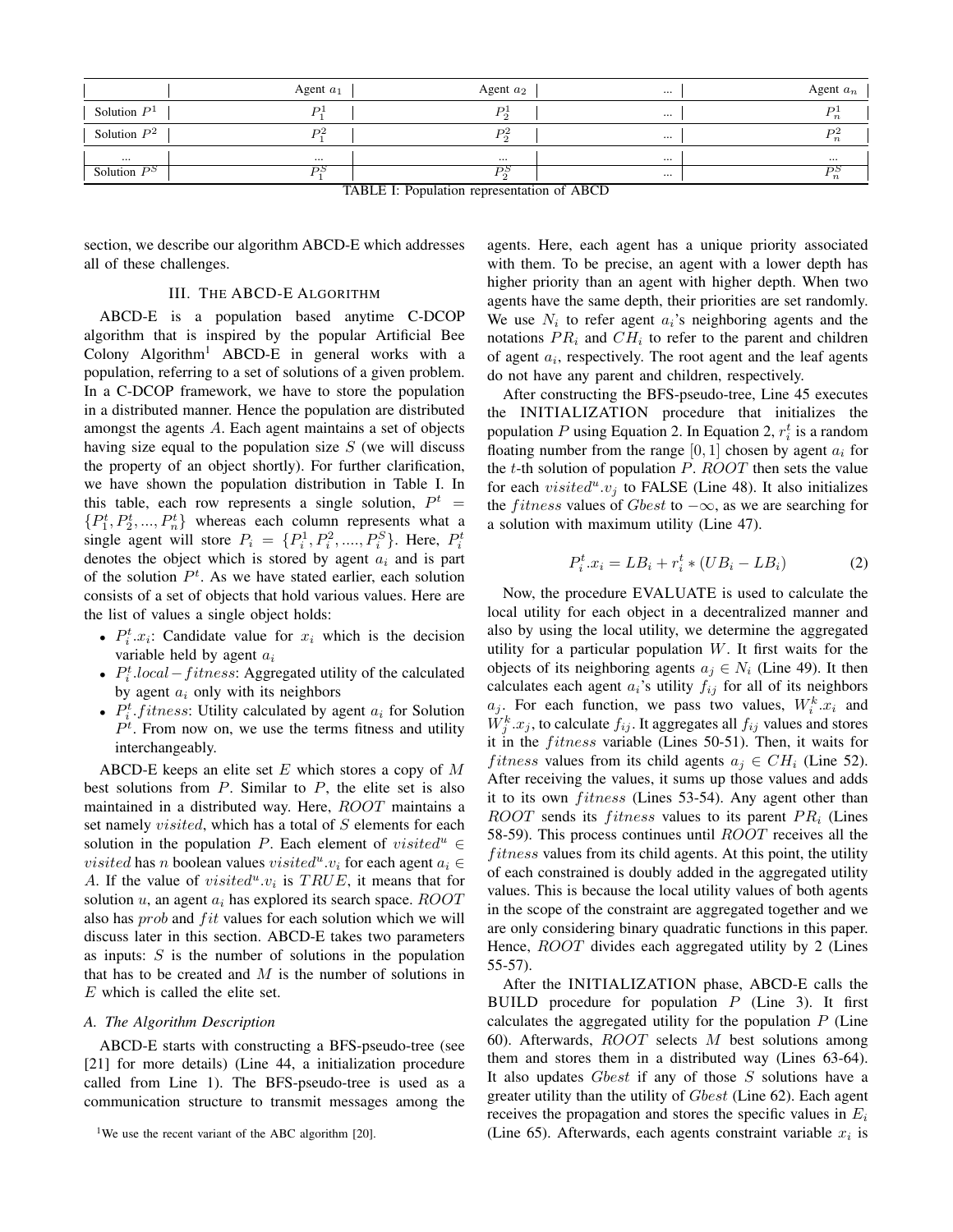<span id="page-2-1"></span>

|                | Agent $a_1$               | Agent $a_2$                      |          | Agent $a_n$      |
|----------------|---------------------------|----------------------------------|----------|------------------|
| Solution $P1$  | $_{D1}$                   | Dl<br>$\sim$                     | $\cdots$ |                  |
| Solution $P^2$ | D <sup>2</sup>            | D <sup>2</sup><br>ົດ             |          | $\boldsymbol{n}$ |
| $\cdots$       | $\cdots$                  | $\cdots$                         |          | $\cdots$         |
| Solution $P^S$ | РS<br>$m + n + n + n - 1$ | PŞ<br>$\alpha$ $\alpha$ $\alpha$ |          |                  |

TABLE I: Population representation of ABCD

section, we describe our algorithm ABCD-E which addresses all of these challenges.

# III. THE ABCD-E ALGORITHM

ABCD-E is a population based anytime C-DCOP algorithm that is inspired by the popular Artificial Bee Colony  $Algorithm<sup>1</sup> ABCD-E$  $Algorithm<sup>1</sup> ABCD-E$  $Algorithm<sup>1</sup> ABCD-E$  in general works with a population, referring to a set of solutions of a given problem. In a C-DCOP framework, we have to store the population in a distributed manner. Hence the population are distributed amongst the agents A. Each agent maintains a set of objects having size equal to the population size  $S$  (we will discuss the property of an object shortly). For further clarification, we have shown the population distribution in Table [I.](#page-2-1) In this table, each row represents a single solution,  $P^t$  =  $\{P_1^t, P_2^t, ..., P_n^t\}$  whereas each column represents what a single agent will store  $P_i = \{P_i^1, P_i^2, \dots, P_i^S\}$ . Here,  $P_i^t$ denotes the object which is stored by agent  $a_i$  and is part of the solution  $P<sup>t</sup>$ . As we have stated earlier, each solution consists of a set of objects that hold various values. Here are the list of values a single object holds:

- $P_i^t \cdot x_i$ : Candidate value for  $x_i$  which is the decision variable held by agent  $a_i$
- $P_i^t$ .local fitness: Aggregated utility of the calculated by agent  $a_i$  only with its neighbors
- $P_i^t$ :  $fitness$ : Utility calculated by agent  $a_i$  for Solution  $P<sup>t</sup>$ . From now on, we use the terms fitness and utility interchangeably.

ABCD-E keeps an elite set  $E$  which stores a copy of  $M$ best solutions from  $P$ . Similar to  $P$ , the elite set is also maintained in a distributed way. Here, ROOT maintains a set namely *visited*, which has a total of S elements for each solution in the population P. Each element of visited<sup>u</sup> ∈ *visited* has *n* boolean values *visited*<sup>*u*</sup>. $v_i$  for each agent  $a_i \in$ A. If the value of *visited*<sup>*u*</sup>. $v_i$  is *TRUE*, it means that for solution  $u$ , an agent  $a_i$  has explored its search space.  $ROOT$ also has *prob* and *fit* values for each solution which we will discuss later in this section. ABCD-E takes two parameters as inputs:  $S$  is the number of solutions in the population that has to be created and  $M$  is the number of solutions in E which is called the elite set.

#### *A. The Algorithm Description*

ABCD-E starts with constructing a BFS-pseudo-tree (see [21] for more details) (Line 44, a initialization procedure called from Line 1). The BFS-pseudo-tree is used as a communication structure to transmit messages among the agents. Here, each agent has a unique priority associated with them. To be precise, an agent with a lower depth has higher priority than an agent with higher depth. When two agents have the same depth, their priorities are set randomly. We use  $N_i$  to refer agent  $a_i$ 's neighboring agents and the notations  $PR_i$  and  $CH_i$  to refer to the parent and children of agent  $a_i$ , respectively. The root agent and the leaf agents do not have any parent and children, respectively.

After constructing the BFS-pseudo-tree, Line 45 executes the INITIALIZATION procedure that initializes the population P using Equation [2.](#page-2-2) In Equation [2,](#page-2-2)  $r_i^t$  is a random floating number from the range  $[0, 1]$  chosen by agent  $a_i$  for the  $t$ -th solution of population  $P$ .  $ROOT$  then sets the value for each  $visited^u.v_j$  to FALSE (Line 48). It also initializes the *fitness* values of Gbest to  $-\infty$ , as we are searching for a solution with maximum utility (Line 47).

<span id="page-2-2"></span>
$$
P_i^t \cdot x_i = LB_i + r_i^t * (UB_i - LB_i) \tag{2}
$$

Now, the procedure EVALUATE is used to calculate the local utility for each object in a decentralized manner and also by using the local utility, we determine the aggregated utility for a particular population  $W$ . It first waits for the objects of its neighboring agents  $a_i \in N_i$  (Line 49). It then calculates each agent  $a_i$ 's utility  $f_{ij}$  for all of its neighbors  $a_j$ . For each function, we pass two values,  $W_i^k x_i$  and  $W_j^k.x_j$ , to calculate  $f_{ij}$ . It aggregates all  $f_{ij}$  values and stores it in the *fitness* variable (Lines 50-51). Then, it waits for *fitness* values from its child agents  $a_i \in CH_i$  (Line 52). After receiving the values, it sums up those values and adds it to its own *fitness* (Lines 53-54). Any agent other than ROOT sends its *fitness* values to its parent  $PR_i$  (Lines 58-59). This process continues until ROOT receives all the  $fitness$  values from its child agents. At this point, the utility of each constrained is doubly added in the aggregated utility values. This is because the local utility values of both agents in the scope of the constraint are aggregated together and we are only considering binary quadratic functions in this paper. Hence,  $ROOT$  divides each aggregated utility by 2 (Lines 55-57).

After the INITIALIZATION phase, ABCD-E calls the BUILD procedure for population  $P$  (Line 3). It first calculates the aggregated utility for the population  $P$  (Line 60). Afterwards,  $ROOT$  selects  $M$  best solutions among them and stores them in a distributed way (Lines 63-64). It also updates  $Gbest$  if any of those  $S$  solutions have a greater utility than the utility of Gbest (Line 62). Each agent receives the propagation and stores the specific values in  $E_i$ (Line 65). Afterwards, each agents constraint variable  $x_i$  is

<span id="page-2-0"></span><sup>&</sup>lt;sup>1</sup>We use the recent variant of the ABC algorithm [20].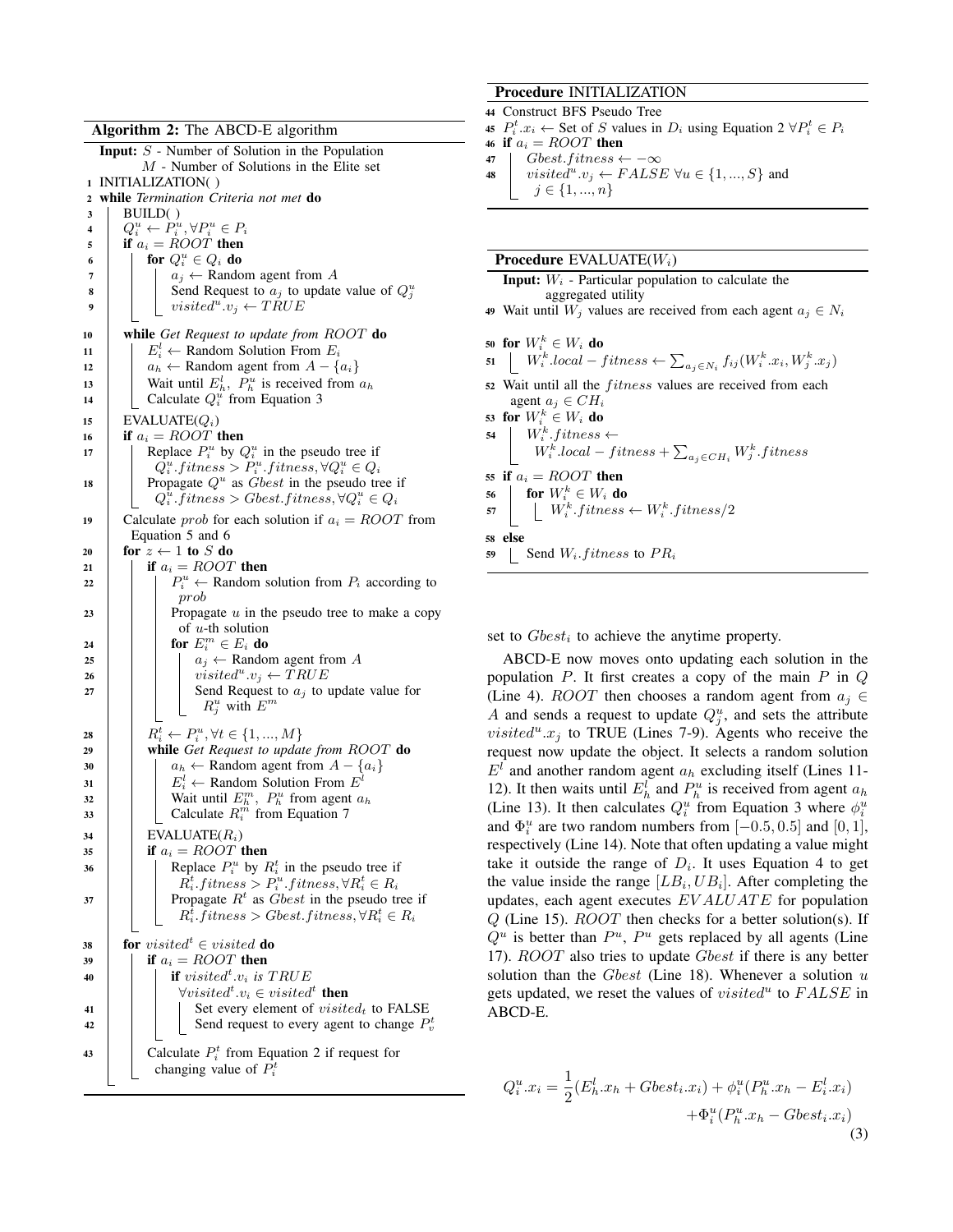|  | Algorithm 2: The ABCD-E algorithm |  |  |  |  |
|--|-----------------------------------|--|--|--|--|
|--|-----------------------------------|--|--|--|--|

<span id="page-3-1"></span>

|    | $\tilde{\phantom{a}}$                                                              |
|----|------------------------------------------------------------------------------------|
|    | <b>Input:</b> $S$ - Number of Solution in the Population                           |
|    | $M$ - Number of Solutions in the Elite set                                         |
|    | 1 INITIALIZATION()                                                                 |
| 2  | while Termination Criteria not met do                                              |
| 3  | BUILD()                                                                            |
| 4  | $Q_i^u \leftarrow P_i^u, \forall P_i^u \in P_i$                                    |
| 5  | if $a_i = ROOT$ then                                                               |
| 6  | for $Q_i^u \in Q_i$ do                                                             |
| 7  | $a_j \leftarrow$ Random agent from A                                               |
| 8  | Send Request to $a_j$ to update value of $Q_i^u$                                   |
| 9  | visited <sup>"</sup> .v <sub>i</sub> $\leftarrow$ TRUE                             |
|    |                                                                                    |
| 10 | while Get Request to update from $ROOT$ do                                         |
| 11 | $E_i^l \leftarrow$ Random Solution From $E_i$                                      |
| 12 | $a_h \leftarrow$ Random agent from $A - \{a_i\}$                                   |
| 13 | Wait until $E_h^l$ , $P_h^u$ is received from $a_h$                                |
| 14 | Calculate $Q_i^u$ from Equation 3                                                  |
| 15 | $EVALUATE(Q_i)$                                                                    |
| 16 | if $a_i = ROOT$ then                                                               |
| 17 | Replace $P_i^u$ by $Q_i^u$ in the pseudo tree if                                   |
|    | $Q_i^u.fithess > P_i^u.fithess, \forall Q_i^u \in Q_i$                             |
| 18 | Propagate $Q^u$ as <i>Gbest</i> in the pseudo tree if                              |
|    | $Q_i^u$ . fitness > Gbest. fitness, $\forall Q_i^u \in Q_i$                        |
| 19 | Calculate <i>prob</i> for each solution if $a_i = ROOT$ from                       |
|    | Equation 5 and 6                                                                   |
| 20 | for $z \leftarrow 1$ to S do                                                       |
| 21 | if $a_i = ROOT$ then                                                               |
| 22 | $P_i^u \leftarrow$ Random solution from $P_i$ according to                         |
|    | prob                                                                               |
| 23 | Propagate $u$ in the pseudo tree to make a copy                                    |
|    | of $u$ -th solution                                                                |
| 24 | for $E_i^m \in E_i$ do                                                             |
| 25 | $a_j \leftarrow$ Random agent from A                                               |
| 26 | visited <sup>"</sup> .v <sub>j</sub> $\leftarrow$ TRUE                             |
| 27 | Send Request to $a_j$ to update value for                                          |
|    | $R_i^u$ with $E^m$                                                                 |
|    |                                                                                    |
| 28 | $R_i^t \leftarrow P_i^u, \forall t \in \{1, , M\}$                                 |
| 29 | while Get Request to update from ROOT do                                           |
| 30 | $a_h \leftarrow$ Random agent from $A - \{a_i\}$                                   |
| 31 | $E_i^l \leftarrow$ Random Solution From $E^l$                                      |
| 32 | Wait until $E_h^m$ , $P_h^u$ from agent $a_h$<br>Calculate $R_i^m$ from Equation 7 |
| 33 |                                                                                    |
| 34 | EVALUATE(R <sub>i</sub> )                                                          |
| 35 | if $a_i = ROOT$ then                                                               |
| 36 | Replace $P_i^u$ by $R_i^t$ in the pseudo tree if                                   |
|    | $R_i^t$ : fitness > $P_i^u$ : fitness, $\forall R_i^t \in R_i$                     |
| 37 | Propagate $R^t$ as $\dot{G}best$ in the pseudo tree if                             |
|    | $R_i^t$ fitness > Gbest fitness, $\forall R_i^t \in R_i$                           |
|    |                                                                                    |
| 38 | <b>for</b> visited $\mathbf{d}^t \in \text{visited}$ <b>do</b>                     |
| 39 | if $a_i = ROOT$ then                                                               |
| 40 | if visited <sup>t</sup> .v <sub>i</sub> is TRUE                                    |
|    | $\forall visited^t.v_i \in visited^t$ then                                         |
| 41 | Set every element of $visited_t$ to FALSE                                          |
| 42 | Send request to every agent to change $P_v^t$                                      |
|    |                                                                                    |
| 43 | Calculate $P_i^t$ from Equation 2 if request for                                   |
|    | changing value of $P_i^t$                                                          |
|    |                                                                                    |

# Procedure INITIALIZATION

<sup>44</sup> Construct BFS Pseudo Tree 45  $P_i^t.x_i \leftarrow$  Set of S values in  $D_i$  using Equation [2](#page-2-2)  $\forall P_i^t \in P_i$ 

46 if  $a_i = ROOT$  then

47 Gbest.fitness  $\leftarrow -\infty$ 

48 visited<sup>u</sup>.v<sub>j</sub>  $\leftarrow$  FALSE  $\forall u \in \{1, ..., S\}$  and  $j \in \{1, ..., n\}$ 

## **Procedure EVALUATE** $(W_i)$

|    | <b>Input:</b> $W_i$ - Particular population to calculate the                                                               |
|----|----------------------------------------------------------------------------------------------------------------------------|
|    | aggregated utility                                                                                                         |
|    | 49 Wait until $W_i$ values are received from each agent $a_i \in N_i$                                                      |
|    | 50 for $W_i^k \in W_i$ do                                                                                                  |
|    |                                                                                                                            |
|    | 51 $\big  W_i^k~local - fitness \leftarrow \sum_{a_j \in N_i} f_{ij}(W_i^k.x_i, W_j^k.x_j)$                                |
|    | 52 Wait until all the <i>fitness</i> values are received from each                                                         |
|    | agent $a_j \in CH_i$                                                                                                       |
|    | 53 for $W_i^k \in W_i$ do                                                                                                  |
|    |                                                                                                                            |
|    |                                                                                                                            |
|    | 55 if $a_i = ROOT$ then                                                                                                    |
|    |                                                                                                                            |
|    | 56 <b>for</b> $W_i^k \in W_i$ <b>do</b><br>57 <b>for</b> $W_i^k$ . <i>fitness</i> $\leftarrow$ $W_i^k$ . <i>fitness</i> /2 |
|    | 58 else                                                                                                                    |
| 59 | Send $W_i$ . <i>fitness</i> to $PR_i$                                                                                      |
|    |                                                                                                                            |
|    |                                                                                                                            |

set to  $Gbest_i$  to achieve the anytime property.

ABCD-E now moves onto updating each solution in the population  $P$ . It first creates a copy of the main  $P$  in  $Q$ (Line 4). *ROOT* then chooses a random agent from  $a_i \in$ A and sends a request to update  $Q_j^u$ , and sets the attribute *visited*<sup>*u*</sup>. $x_j$  to TRUE (Lines 7-9). Agents who receive the request now update the object. It selects a random solution  $E<sup>l</sup>$  and another random agent  $a<sub>h</sub>$  excluding itself (Lines 11-12). It then waits until  $E_h^l$  and  $P_h^u$  is received from agent  $a_h$ (Line 13). It then calculates  $Q_i^u$  from Equation [3](#page-3-0) where  $\phi_i^u$ and  $\Phi_i^u$  are two random numbers from  $[-0.5, 0.5]$  and  $[0, 1]$ , respectively (Line 14). Note that often updating a value might take it outside the range of  $D_i$ . It uses Equation [4](#page-4-3) to get the value inside the range  $[LB_i, UB_i]$ . After completing the updates, each agent executes  $EVALUATE$  for population Q (Line 15). ROOT then checks for a better solution(s). If  $Q^u$  is better than  $P^u$ ,  $P^u$  gets replaced by all agents (Line 17). ROOT also tries to update Gbest if there is any better solution than the  $Gbest$  (Line 18). Whenever a solution  $u$ gets updated, we reset the values of  $visited^u$  to  $FALSE$  in ABCD-E.

<span id="page-3-0"></span>
$$
Q_i^u.x_i = \frac{1}{2}(E_h^l.x_h + Gbest_i.x_i) + \phi_i^u(P_h^u.x_h - E_i^l.x_i) + \Phi_i^u(P_h^u.x_h - Gbest_i.x_i)
$$
\n(3)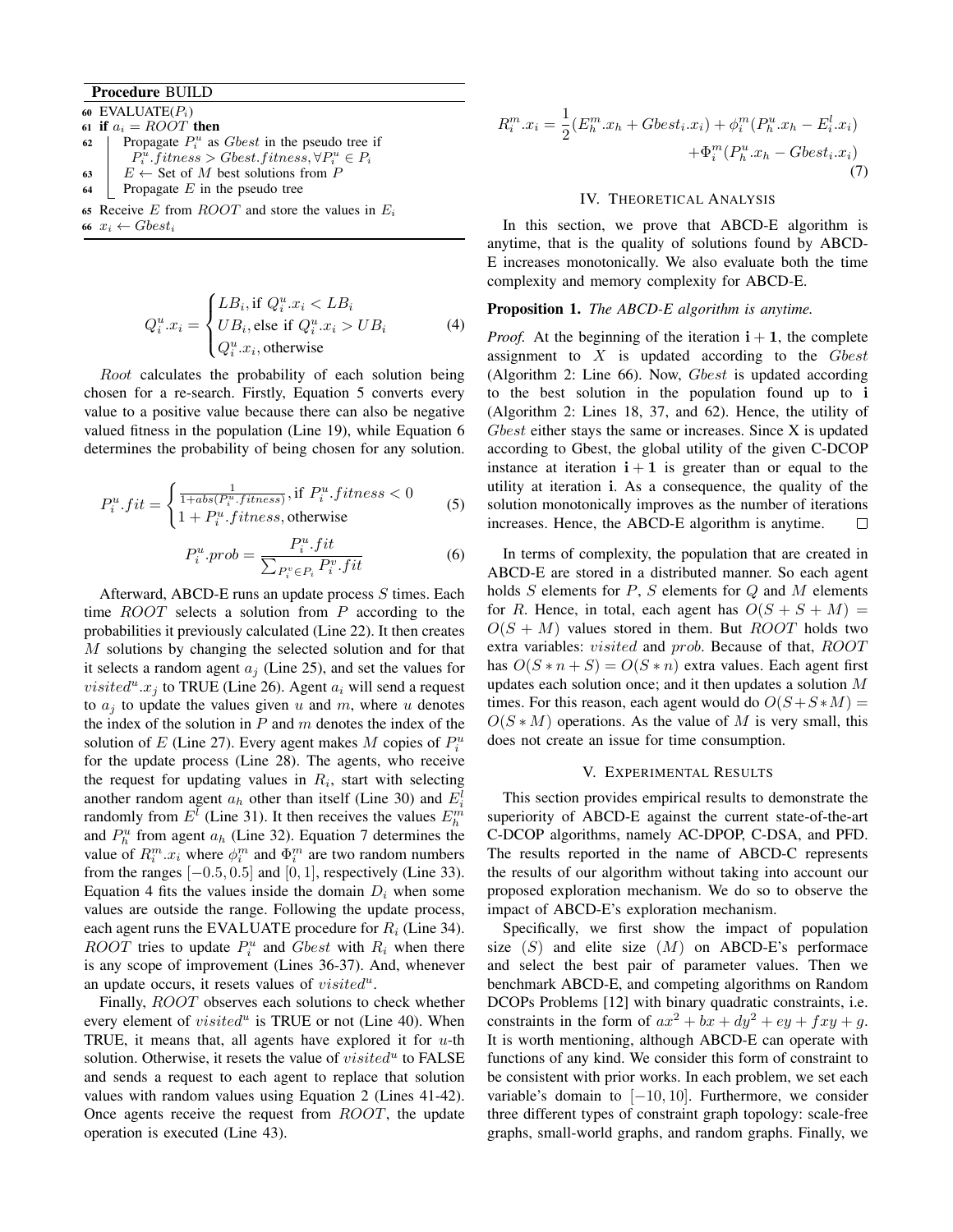# Procedure BUILD

- 60 EVALUATE $(P_i)$ 61 if  $a_i = ROOT$  then 62 | Propagate  $P_i^u$  as *Gbest* in the pseudo tree if  $P_i^{\hat{u}}$ . fitness > Gbest.fitness,  $\forall P_i^u \in P_i$ 63  $E \leftarrow$  Set of M best solutions from P  $64$  Propagate E in the pseudo tree
- 65 Receive E from  $ROOT$  and store the values in  $E_i$
- 66  $x_i \leftarrow Gbest_i$

<span id="page-4-3"></span>
$$
Q_i^u \n\ldots = \begin{cases} LB_i, \text{if } Q_i^u \ldots z_i < LB_i \\ UB_i, \text{else if } Q_i^u \ldots z_i > UB_i \\ Q_i^u \ldots z_i, \text{otherwise} \end{cases} \tag{4}
$$

Root calculates the probability of each solution being chosen for a re-search. Firstly, Equation [5](#page-4-0) converts every value to a positive value because there can also be negative valued fitness in the population (Line 19), while Equation [6](#page-4-1) determines the probability of being chosen for any solution.

<span id="page-4-0"></span>
$$
P_i^u.fit = \begin{cases} \frac{1}{1+abs(P_i^u.fitness)}, \text{if } P_i^u.fitness < 0\\ 1 + P_i^u.fitness, \text{otherwise} \end{cases} \tag{5}
$$

<span id="page-4-1"></span>
$$
P_i^u. prob = \frac{P_i^u. fit}{\sum_{P_i^v \in P_i} P_i^v. fit}
$$
 (6)

Afterward, ABCD-E runs an update process S times. Each time  $ROOT$  selects a solution from P according to the probabilities it previously calculated (Line 22). It then creates M solutions by changing the selected solution and for that it selects a random agent  $a_i$  (Line 25), and set the values for *visited*<sup>*u*</sup>. $x_j$  to TRUE (Line 26). Agent  $a_i$  will send a request to  $a_i$  to update the values given u and m, where u denotes the index of the solution in  $P$  and  $m$  denotes the index of the solution of E (Line 27). Every agent makes M copies of  $P_i^u$ for the update process (Line 28). The agents, who receive the request for updating values in  $R_i$ , start with selecting another random agent  $a_h$  other than itself (Line 30) and  $E_i^l$ randomly from  $E^l$  (Line 31). It then receives the values  $E_h^m$ and  $P_h^u$  from agent  $a_h$  (Line 32). Equation [7](#page-4-2) determines the value of  $R_i^m.x_i$  where  $\phi_i^m$  and  $\Phi_i^m$  are two random numbers from the ranges  $[-0.5, 0.5]$  and  $[0, 1]$ , respectively (Line 33). Equation [4](#page-4-3) fits the values inside the domain  $D_i$  when some values are outside the range. Following the update process, each agent runs the EVALUATE procedure for  $R_i$  (Line 34). ROOT tries to update  $P_i^u$  and Gbest with  $R_i$  when there is any scope of improvement (Lines 36-37). And, whenever an update occurs, it resets values of  $visited^u$ .

Finally, ROOT observes each solutions to check whether every element of  $visited^u$  is TRUE or not (Line 40). When TRUE, it means that, all agents have explored it for  $u$ -th solution. Otherwise, it resets the value of  $visited^u$  to FALSE and sends a request to each agent to replace that solution values with random values using Equation [2](#page-2-2) (Lines 41-42). Once agents receive the request from ROOT, the update operation is executed (Line 43).

<span id="page-4-2"></span>
$$
R_i^m \cdot x_i = \frac{1}{2} (E_h^m \cdot x_h + Gbest_i \cdot x_i) + \phi_i^m (P_h^u \cdot x_h - E_i^l \cdot x_i) + \Phi_i^m (P_h^u \cdot x_h - Gbest_i \cdot x_i)
$$
\n(7)

#### IV. THEORETICAL ANALYSIS

In this section, we prove that ABCD-E algorithm is anytime, that is the quality of solutions found by ABCD-E increases monotonically. We also evaluate both the time complexity and memory complexity for ABCD-E.

### Proposition 1. *The ABCD-E algorithm is anytime.*

*Proof.* At the beginning of the iteration  $\mathbf{i} + \mathbf{1}$ , the complete assignment to  $X$  is updated according to the  $Gbest$ (Algorithm [2:](#page-3-1) Line 66). Now, *Gbest* is updated according to the best solution in the population found up to i (Algorithm [2:](#page-3-1) Lines 18, 37, and 62). Hence, the utility of Gbest either stays the same or increases. Since X is updated according to Gbest, the global utility of the given C-DCOP instance at iteration  $i + 1$  is greater than or equal to the utility at iteration i. As a consequence, the quality of the solution monotonically improves as the number of iterations increases. Hence, the ABCD-E algorithm is anytime. П

In terms of complexity, the population that are created in ABCD-E are stored in a distributed manner. So each agent holds  $S$  elements for  $P$ ,  $S$  elements for  $Q$  and  $M$  elements for R. Hence, in total, each agent has  $O(S + S + M) =$  $O(S + M)$  values stored in them. But *ROOT* holds two extra variables: *visited* and *prob*. Because of that, *ROOT* has  $O(S * n + S) = O(S * n)$  extra values. Each agent first updates each solution once; and it then updates a solution M times. For this reason, each agent would do  $O(S + S * M) =$  $O(S*M)$  operations. As the value of M is very small, this does not create an issue for time consumption.

#### V. EXPERIMENTAL RESULTS

This section provides empirical results to demonstrate the superiority of ABCD-E against the current state-of-the-art C-DCOP algorithms, namely AC-DPOP, C-DSA, and PFD. The results reported in the name of ABCD-C represents the results of our algorithm without taking into account our proposed exploration mechanism. We do so to observe the impact of ABCD-E's exploration mechanism.

Specifically, we first show the impact of population size  $(S)$  and elite size  $(M)$  on ABCD-E's performace and select the best pair of parameter values. Then we benchmark ABCD-E, and competing algorithms on Random DCOPs Problems [12] with binary quadratic constraints, i.e. constraints in the form of  $ax^2 + bx + dy^2 + ey + fxy + g$ . It is worth mentioning, although ABCD-E can operate with functions of any kind. We consider this form of constraint to be consistent with prior works. In each problem, we set each variable's domain to  $[-10, 10]$ . Furthermore, we consider three different types of constraint graph topology: scale-free graphs, small-world graphs, and random graphs. Finally, we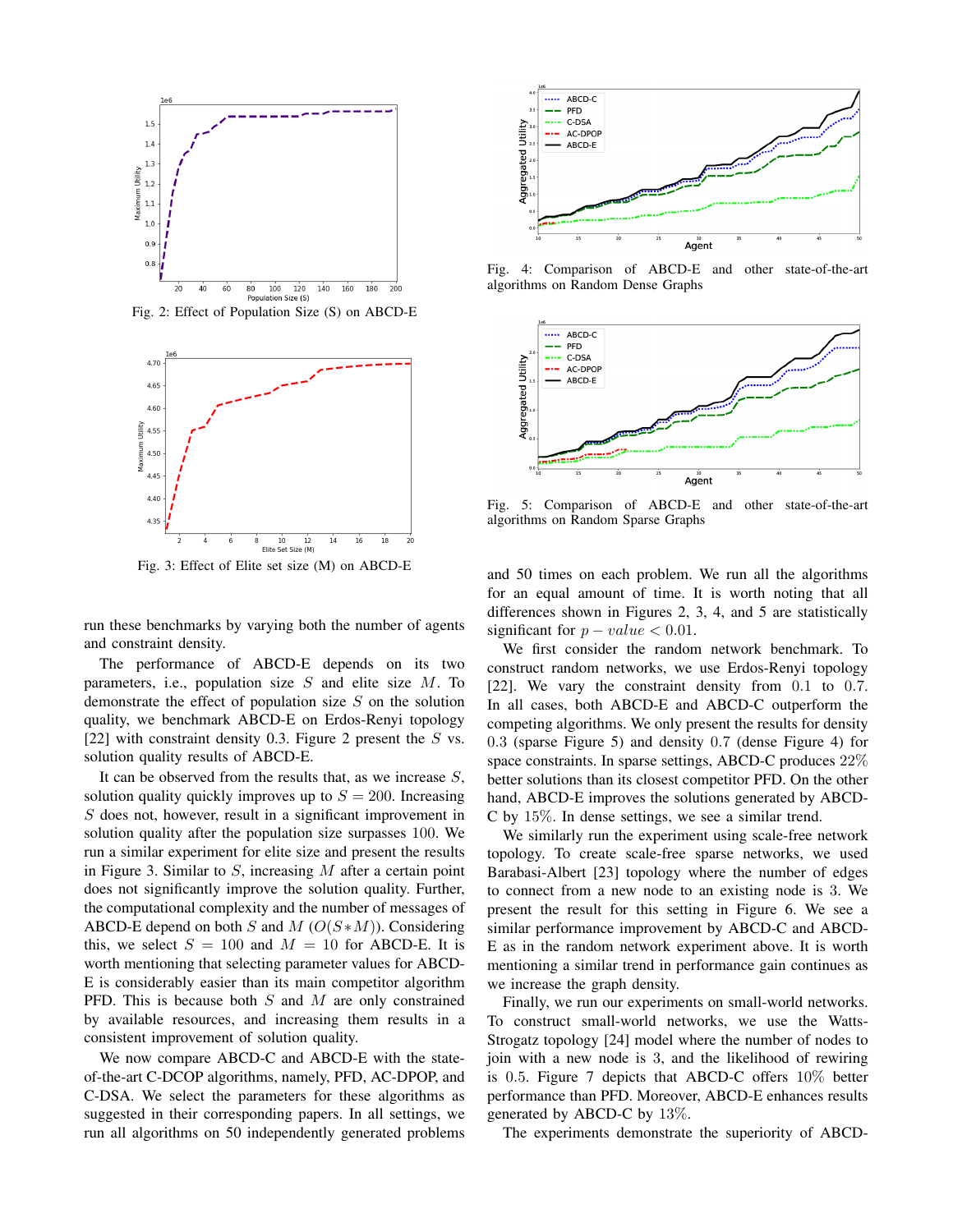<span id="page-5-0"></span>

Fig. 2: Effect of Population Size (S) on ABCD-E

<span id="page-5-1"></span>

Fig. 3: Effect of Elite set size (M) on ABCD-E

run these benchmarks by varying both the number of agents and constraint density.

The performance of ABCD-E depends on its two parameters, i.e., population size  $S$  and elite size  $M$ . To demonstrate the effect of population size  $S$  on the solution quality, we benchmark ABCD-E on Erdos-Renyi topology [22] with constraint density 0.3. Figure [2](#page-5-0) present the  $S$  vs. solution quality results of ABCD-E.

It can be observed from the results that, as we increase  $S$ , solution quality quickly improves up to  $S = 200$ . Increasing S does not, however, result in a significant improvement in solution quality after the population size surpasses 100. We run a similar experiment for elite size and present the results in Figure [3.](#page-5-1) Similar to  $S$ , increasing  $M$  after a certain point does not significantly improve the solution quality. Further, the computational complexity and the number of messages of ABCD-E depend on both S and M  $(O(S*M))$ . Considering this, we select  $S = 100$  and  $M = 10$  for ABCD-E. It is worth mentioning that selecting parameter values for ABCD-E is considerably easier than its main competitor algorithm PFD. This is because both  $S$  and  $M$  are only constrained by available resources, and increasing them results in a consistent improvement of solution quality.

We now compare ABCD-C and ABCD-E with the stateof-the-art C-DCOP algorithms, namely, PFD, AC-DPOP, and C-DSA. We select the parameters for these algorithms as suggested in their corresponding papers. In all settings, we run all algorithms on 50 independently generated problems

<span id="page-5-3"></span>

Fig. 4: Comparison of ABCD-E and other state-of-the-art algorithms on Random Dense Graphs

<span id="page-5-2"></span>

Fig. 5: Comparison of ABCD-E and other state-of-the-art algorithms on Random Sparse Graphs

and 50 times on each problem. We run all the algorithms for an equal amount of time. It is worth noting that all differences shown in Figures 2, 3, 4, and 5 are statistically significant for  $p-value < 0.01$ .

We first consider the random network benchmark. To construct random networks, we use Erdos-Renyi topology [22]. We vary the constraint density from 0.1 to 0.7. In all cases, both ABCD-E and ABCD-C outperform the competing algorithms. We only present the results for density 0.3 (sparse Figure [5\)](#page-5-2) and density 0.7 (dense Figure [4\)](#page-5-3) for space constraints. In sparse settings, ABCD-C produces 22% better solutions than its closest competitor PFD. On the other hand, ABCD-E improves the solutions generated by ABCD-C by 15%. In dense settings, we see a similar trend.

We similarly run the experiment using scale-free network topology. To create scale-free sparse networks, we used Barabasi-Albert [23] topology where the number of edges to connect from a new node to an existing node is 3. We present the result for this setting in Figure [6.](#page-6-0) We see a similar performance improvement by ABCD-C and ABCD-E as in the random network experiment above. It is worth mentioning a similar trend in performance gain continues as we increase the graph density.

Finally, we run our experiments on small-world networks. To construct small-world networks, we use the Watts-Strogatz topology [24] model where the number of nodes to join with a new node is 3, and the likelihood of rewiring is 0.5. Figure [7](#page-6-1) depicts that ABCD-C offers 10% better performance than PFD. Moreover, ABCD-E enhances results generated by ABCD-C by 13%.

The experiments demonstrate the superiority of ABCD-